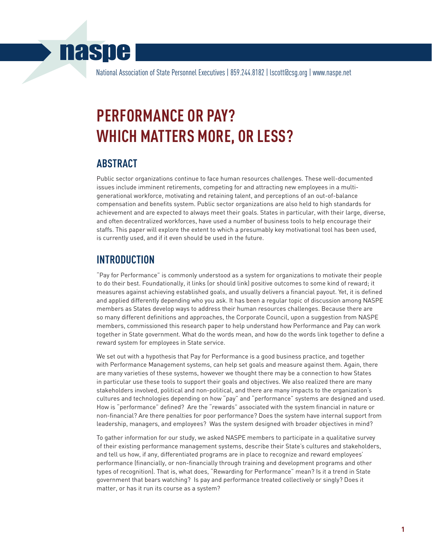## **naspe**

National Association of State Personnel Executives | 859.244.8182 | lscott@csg.org | www.naspe.net

# **PERFORMANCE OR PAY? WHICH MATTERS MORE, OR LESS?**

#### **ABSTRACT**

Public sector organizations continue to face human resources challenges. These well-documented issues include imminent retirements, competing for and attracting new employees in a multigenerational workforce, motivating and retaining talent, and perceptions of an out-of-balance compensation and benefits system. Public sector organizations are also held to high standards for achievement and are expected to always meet their goals. States in particular, with their large, diverse, and often decentralized workforces, have used a number of business tools to help encourage their staffs. This paper will explore the extent to which a presumably key motivational tool has been used, is currently used, and if it even should be used in the future.

#### **INTRODUCTION**

"Pay for Performance" is commonly understood as a system for organizations to motivate their people to do their best. Foundationally, it links (or should link) positive outcomes to some kind of reward; it measures against achieving established goals, and usually delivers a financial payout. Yet, it is defined and applied differently depending who you ask. It has been a regular topic of discussion among NASPE members as States develop ways to address their human resources challenges. Because there are so many different definitions and approaches, the Corporate Council, upon a suggestion from NASPE members, commissioned this research paper to help understand how Performance and Pay can work together in State government. What do the words mean, and how do the words link together to define a reward system for employees in State service.

We set out with a hypothesis that Pay for Performance is a good business practice, and together with Performance Management systems, can help set goals and measure against them. Again, there are many varieties of these systems, however we thought there may be a connection to how States in particular use these tools to support their goals and objectives. We also realized there are many stakeholders involved, political and non-political, and there are many impacts to the organization's cultures and technologies depending on how "pay" and "performance" systems are designed and used. How is "performance" defined? Are the "rewards" associated with the system financial in nature or non-financial? Are there penalties for poor performance? Does the system have internal support from leadership, managers, and employees? Was the system designed with broader objectives in mind?

To gather information for our study, we asked NASPE members to participate in a qualitative survey of their existing performance management systems, describe their State's cultures and stakeholders, and tell us how, if any, differentiated programs are in place to recognize and reward employees' performance (financially, or non-financially through training and development programs and other types of recognition). That is, what does, "Rewarding for Performance" mean? Is it a trend in State government that bears watching? Is pay and performance treated collectively or singly? Does it matter, or has it run its course as a system?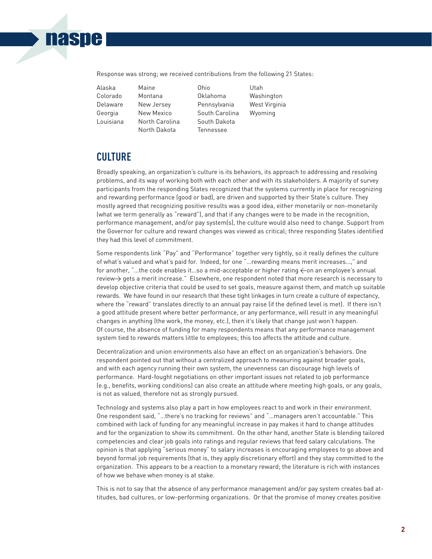### **naspe**

Response was strong; we received contributions from the following 21 States:

| Alaska    |
|-----------|
| Colorado  |
| Delaware  |
| Georgia   |
| Louisiana |
|           |

Alaska Maine Ohio Utah Montana **Oklahoma** Washington New Jersey Pennsylvania West Virginia New Mexico South Carolina Wyoming North Carolina South Dakota North Dakota Tennessee

### **CULTURE**

Broadly speaking, an organization's culture is its behaviors, its approach to addressing and resolving problems, and its way of working both with each other and with its stakeholders. A majority of survey participants from the responding States recognized that the systems currently in place for recognizing and rewarding performance (good or bad), are driven and supported by their State's culture. They mostly agreed that recognizing positive results was a good idea, either monetarily or non-monetarily (what we term generally as "reward"), and that if any changes were to be made in the recognition, performance management, and/or pay system(s), the culture would also need to change. Support from the Governor for culture and reward changes was viewed as critical; three responding States identified they had this level of commitment.

Some respondents link "Pay" and "Performance" together very tightly, so it really defines the culture of what's valued and what's paid for. Indeed, for one "…rewarding means merit increases…," and for another, "...the code enables it...so a mid-acceptable or higher rating  $\leftarrow$  on an employee's annual review-> gets a merit increase." Elsewhere, one respondent noted that more research is necessary to develop objective criteria that could be used to set goals, measure against them, and match up suitable rewards. We have found in our research that these tight linkages in turn create a culture of expectancy, where the "reward" translates directly to an annual pay raise (if the defined level is met). If there isn't a good attitude present where better performance, or any performance, will result in any meaningful changes in anything (the work, the money, etc.), then it's likely that change just won't happen. Of course, the absence of funding for many respondents means that any performance management system tied to rewards matters little to employees; this too affects the attitude and culture.

Decentralization and union environments also have an effect on an organization's behaviors. One respondent pointed out that without a centralized approach to measuring against broader goals, and with each agency running their own system, the unevenness can discourage high levels of performance. Hard-fought negotiations on other important issues not related to job performance (e.g., benefits, working conditions) can also create an attitude where meeting high goals, or any goals, is not as valued, therefore not as strongly pursued.

Technology and systems also play a part in how employees react to and work in their environment. One respondent said, "…there's no tracking for reviews" and "…managers aren't accountable." This combined with lack of funding for any meaningful increase in pay makes it hard to change attitudes and for the organization to show its commitment. On the other hand, another State is blending tailored competencies and clear job goals into ratings and regular reviews that feed salary calculations. The opinion is that applying "serious money" to salary increases is encouraging employees to go above and beyond formal job requirements (that is, they apply discretionary effort) and they stay committed to the organization. This appears to be a reaction to a monetary reward; the literature is rich with instances of how we behave when money is at stake.

This is not to say that the absence of any performance management and/or pay system creates bad attitudes, bad cultures, or low-performing organizations. Or that the promise of money creates positive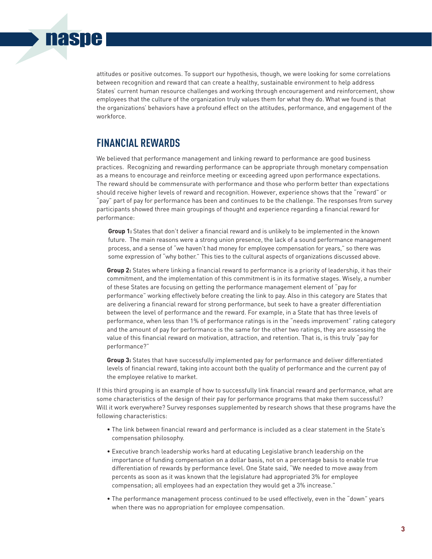attitudes or positive outcomes. To support our hypothesis, though, we were looking for some correlations between recognition and reward that can create a healthy, sustainable environment to help address States' current human resource challenges and working through encouragement and reinforcement, show employees that the culture of the organization truly values them for what they do. What we found is that the organizations' behaviors have a profound effect on the attitudes, performance, and engagement of the workforce.

#### **FINANCIAL REWARDS**

**naspe** 

We believed that performance management and linking reward to performance are good business practices. Recognizing and rewarding performance can be appropriate through monetary compensation as a means to encourage and reinforce meeting or exceeding agreed upon performance expectations. The reward should be commensurate with performance and those who perform better than expectations should receive higher levels of reward and recognition. However, experience shows that the "reward" or "pay" part of pay for performance has been and continues to be the challenge. The responses from survey participants showed three main groupings of thought and experience regarding a financial reward for performance:

 **Group 1:** States that don't deliver a financial reward and is unlikely to be implemented in the known future. The main reasons were a strong union presence, the lack of a sound performance management process, and a sense of "we haven't had money for employee compensation for years," so there was some expression of "why bother." This ties to the cultural aspects of organizations discussed above.

 **Group 2:** States where linking a financial reward to performance is a priority of leadership, it has their commitment, and the implementation of this commitment is in its formative stages. Wisely, a number of these States are focusing on getting the performance management element of "pay for performance" working effectively before creating the link to pay. Also in this category are States that are delivering a financial reward for strong performance, but seek to have a greater differentiation between the level of performance and the reward. For example, in a State that has three levels of performance, when less than 1% of performance ratings is in the "needs improvement" rating category and the amount of pay for performance is the same for the other two ratings, they are assessing the value of this financial reward on motivation, attraction, and retention. That is, is this truly "pay for performance?"

 **Group 3:** States that have successfully implemented pay for performance and deliver differentiated levels of financial reward, taking into account both the quality of performance and the current pay of the employee relative to market.

If this third grouping is an example of how to successfully link financial reward and performance, what are some characteristics of the design of their pay for performance programs that make them successful? Will it work everywhere? Survey responses supplemented by research shows that these programs have the following characteristics:

- The link between financial reward and performance is included as a clear statement in the State's compensation philosophy.
- Executive branch leadership works hard at educating Legislative branch leadership on the importance of funding compensation on a dollar basis, not on a percentage basis to enable true differentiation of rewards by performance level. One State said, "We needed to move away from percents as soon as it was known that the legislature had appropriated 3% for employee compensation; all employees had an expectation they would get a 3% increase."
- The performance management process continued to be used effectively, even in the "down" years when there was no appropriation for employee compensation.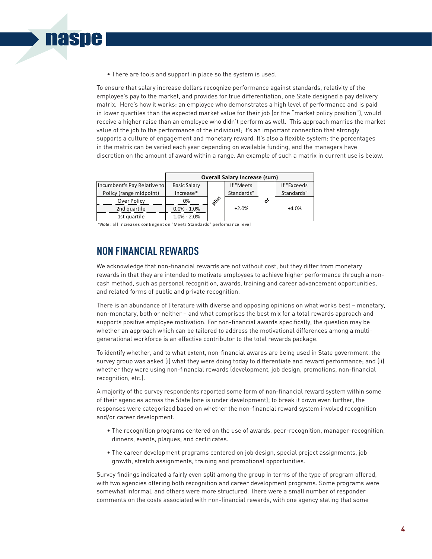• There are tools and support in place so the system is used.

To ensure that salary increase dollars recognize performance against standards, relativity of the employee's pay to the market, and provides for true differentiation, one State designed a pay delivery matrix. Here's how it works: an employee who demonstrates a high level of performance and is paid in lower quartiles than the expected market value for their job (or the "market policy position"), would receive a higher raise than an employee who didn't perform as well. This approach marries the market value of the job to the performance of the individual; it's an important connection that strongly supports a culture of engagement and monetary reward. It's also a flexible system: the percentages in the matrix can be varied each year depending on available funding, and the managers have discretion on the amount of award within a range. An example of such a matrix in current use is below.

|                             | <b>Overall Salary Increase (sum)</b> |            |            |   |             |
|-----------------------------|--------------------------------------|------------|------------|---|-------------|
| Incumbent's Pay Relative to | <b>Basic Salary</b>                  |            | If "Meets  |   | If "Exceeds |
| Policy (range midpoint)     | Increase*                            |            | Standards" |   | Standards"  |
| Over Policy                 | 0%                                   | <b>Que</b> |            | δ |             |
| 2nd quartile                | $0.0\% - 1.0\%$                      |            | $+2.0%$    |   | $+4.0%$     |
| 1st quartile                | $1.0\% - 2.0\%$                      |            |            |   |             |

\**Note* : all increases contingent on "Meets Standards" performance level

#### **NON FINANCIAL REWARDS**

**naspe** 

We acknowledge that non-financial rewards are not without cost, but they differ from monetary rewards in that they are intended to motivate employees to achieve higher performance through a noncash method, such as personal recognition, awards, training and career advancement opportunities, and related forms of public and private recognition.

There is an abundance of literature with diverse and opposing opinions on what works best – monetary, non-monetary, both or neither – and what comprises the best mix for a total rewards approach and supports positive employee motivation. For non-financial awards specifically, the question may be whether an approach which can be tailored to address the motivational differences among a multigenerational workforce is an effective contributor to the total rewards package.

To identify whether, and to what extent, non-financial awards are being used in State government, the survey group was asked (i) what they were doing today to differentiate and reward performance; and (ii) whether they were using non-financial rewards (development, job design, promotions, non-financial recognition, etc.).

A majority of the survey respondents reported some form of non-financial reward system within some of their agencies across the State (one is under development); to break it down even further, the responses were categorized based on whether the non-financial reward system involved recognition and/or career development.

- The recognition programs centered on the use of awards, peer-recognition, manager-recognition, dinners, events, plaques, and certificates.
- The career development programs centered on job design, special project assignments, job growth, stretch assignments, training and promotional opportunities.

Survey findings indicated a fairly even split among the group in terms of the type of program offered, with two agencies offering both recognition and career development programs. Some programs were somewhat informal, and others were more structured. There were a small number of responder comments on the costs associated with non-financial rewards, with one agency stating that some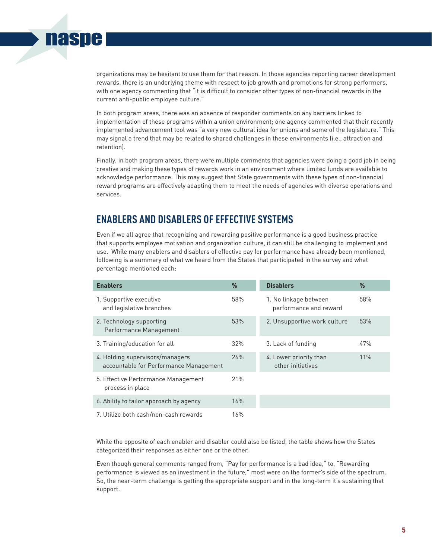

In both program areas, there was an absence of responder comments on any barriers linked to implementation of these programs within a union environment; one agency commented that their recently implemented advancement tool was "a very new cultural idea for unions and some of the legislature." This may signal a trend that may be related to shared challenges in these environments (i.e., attraction and retention).

Finally, in both program areas, there were multiple comments that agencies were doing a good job in being creative and making these types of rewards work in an environment where limited funds are available to acknowledge performance. This may suggest that State governments with these types of non-financial reward programs are effectively adapting them to meet the needs of agencies with diverse operations and services.

#### **ENABLERS AND DISABLERS OF EFFECTIVE SYSTEMS**

nasne

Even if we all agree that recognizing and rewarding positive performance is a good business practice that supports employee motivation and organization culture, it can still be challenging to implement and use. While many enablers and disablers of effective pay for performance have already been mentioned, following is a summary of what we heard from the States that participated in the survey and what percentage mentioned each:

| <b>Enablers</b>                                                           | $\frac{9}{6}$ | <b>Disablers</b>                                | %   |
|---------------------------------------------------------------------------|---------------|-------------------------------------------------|-----|
| 1. Supportive executive<br>and legislative branches                       | 58%           | 1. No linkage between<br>performance and reward | 58% |
| 2. Technology supporting<br>Performance Management                        | 53%           | 2. Unsupportive work culture                    | 53% |
| 3. Training/education for all                                             | 32%           | 3. Lack of funding                              | 47% |
| 4. Holding supervisors/managers<br>accountable for Performance Management | 26%           | 4. Lower priority than<br>other initiatives     | 11% |
| 5. Effective Performance Management<br>process in place                   | 21%           |                                                 |     |
| 6. Ability to tailor approach by agency                                   | 16%           |                                                 |     |
| 7. Utilize both cash/non-cash rewards                                     | 16%           |                                                 |     |

While the opposite of each enabler and disabler could also be listed, the table shows how the States categorized their responses as either one or the other.

Even though general comments ranged from, "Pay for performance is a bad idea," to, "Rewarding performance is viewed as an investment in the future," most were on the former's side of the spectrum. So, the near-term challenge is getting the appropriate support and in the long-term it's sustaining that support.